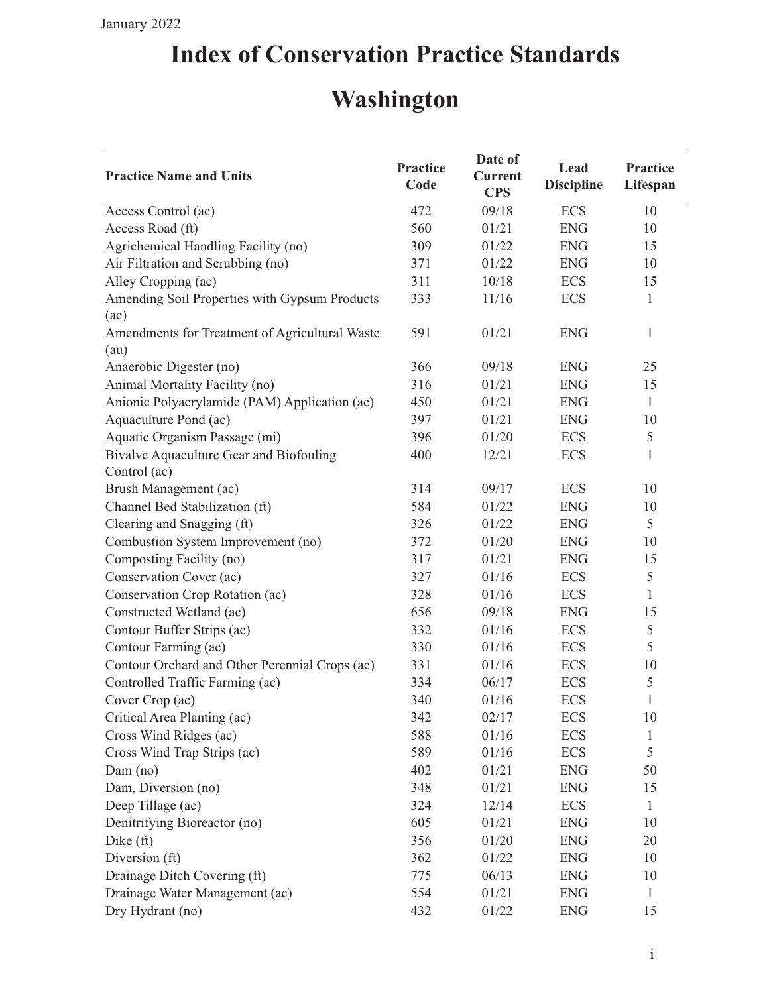## **Index of Conservation Practice Standards**

## **Washington**

| <b>Practice Name and Units</b>                          | <b>Practice</b><br>Code | Date of<br><b>Current</b><br><b>CPS</b> | Lead<br><b>Discipline</b> | Practice<br>Lifespan |
|---------------------------------------------------------|-------------------------|-----------------------------------------|---------------------------|----------------------|
| Access Control (ac)                                     | 472                     | 09/18                                   | <b>ECS</b>                | 10                   |
| Access Road (ft)                                        | 560                     | 01/21                                   | <b>ENG</b>                | 10                   |
| Agrichemical Handling Facility (no)                     | 309                     | 01/22                                   | <b>ENG</b>                | 15                   |
| Air Filtration and Scrubbing (no)                       | 371                     | 01/22                                   | <b>ENG</b>                | 10                   |
| Alley Cropping (ac)                                     | 311                     | 10/18                                   | <b>ECS</b>                | 15                   |
| Amending Soil Properties with Gypsum Products<br>(ac)   | 333                     | 11/16                                   | <b>ECS</b>                | $\mathbf{1}$         |
| Amendments for Treatment of Agricultural Waste<br>(au)  | 591                     | 01/21                                   | <b>ENG</b>                | $\mathbf{1}$         |
| Anaerobic Digester (no)                                 | 366                     | 09/18                                   | <b>ENG</b>                | 25                   |
| Animal Mortality Facility (no)                          | 316                     | 01/21                                   | <b>ENG</b>                | 15                   |
| Anionic Polyacrylamide (PAM) Application (ac)           | 450                     | 01/21                                   | <b>ENG</b>                | $\mathbf{1}$         |
| Aquaculture Pond (ac)                                   | 397                     | 01/21                                   | <b>ENG</b>                | 10                   |
| Aquatic Organism Passage (mi)                           | 396                     | 01/20                                   | <b>ECS</b>                | $\mathfrak s$        |
| Bivalve Aquaculture Gear and Biofouling<br>Control (ac) | 400                     | 12/21                                   | <b>ECS</b>                | $\mathbf{1}$         |
| Brush Management (ac)                                   | 314                     | 09/17                                   | <b>ECS</b>                | 10                   |
| Channel Bed Stabilization (ft)                          | 584                     | 01/22                                   | <b>ENG</b>                | 10                   |
| Clearing and Snagging (ft)                              | 326                     | 01/22                                   | <b>ENG</b>                | 5                    |
| Combustion System Improvement (no)                      | 372                     | 01/20                                   | <b>ENG</b>                | 10                   |
| Composting Facility (no)                                | 317                     | 01/21                                   | <b>ENG</b>                | 15                   |
| Conservation Cover (ac)                                 | 327                     | 01/16                                   | <b>ECS</b>                | $\mathfrak s$        |
| Conservation Crop Rotation (ac)                         | 328                     | 01/16                                   | <b>ECS</b>                | 1                    |
| Constructed Wetland (ac)                                | 656                     | 09/18                                   | <b>ENG</b>                | 15                   |
| Contour Buffer Strips (ac)                              | 332                     | 01/16                                   | <b>ECS</b>                | 5                    |
| Contour Farming (ac)                                    | 330                     | 01/16                                   | <b>ECS</b>                | 5                    |
| Contour Orchard and Other Perennial Crops (ac)          | 331                     | 01/16                                   | <b>ECS</b>                | 10                   |
| Controlled Traffic Farming (ac)                         | 334                     | 06/17                                   | <b>ECS</b>                | 5                    |
| Cover Crop (ac)                                         | 340                     | 01/16                                   | <b>ECS</b>                | $\mathbf{1}$         |
| Critical Area Planting (ac)                             | 342                     | 02/17                                   | <b>ECS</b>                | 10                   |
| Cross Wind Ridges (ac)                                  | 588                     | 01/16                                   | <b>ECS</b>                | 1                    |
| Cross Wind Trap Strips (ac)                             | 589                     | 01/16                                   | <b>ECS</b>                | 5                    |
| $Dam$ (no)                                              | 402                     | 01/21                                   | <b>ENG</b>                | 50                   |
| Dam, Diversion (no)                                     | 348                     | 01/21                                   | <b>ENG</b>                | 15                   |
| Deep Tillage (ac)                                       | 324                     | 12/14                                   | <b>ECS</b>                | $\mathbf{1}$         |
| Denitrifying Bioreactor (no)                            | 605                     | 01/21                                   | <b>ENG</b>                | 10                   |
| Dike (ft)                                               | 356                     | 01/20                                   | <b>ENG</b>                | 20                   |
| Diversion (ft)                                          | 362                     | 01/22                                   | <b>ENG</b>                | 10                   |
| Drainage Ditch Covering (ft)                            | 775                     | 06/13                                   | <b>ENG</b>                | 10                   |
| Drainage Water Management (ac)                          | 554                     | 01/21                                   | <b>ENG</b>                | $\mathbf{1}$         |
| Dry Hydrant (no)                                        | 432                     | 01/22                                   | <b>ENG</b>                | 15                   |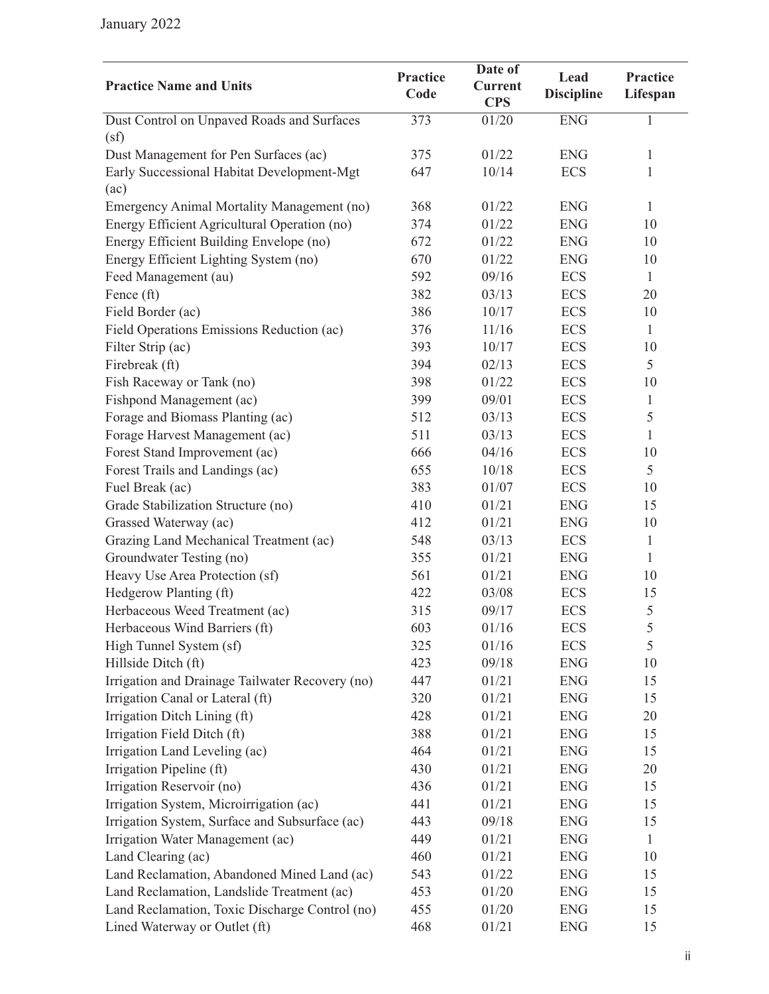| <b>Practice Name and Units</b>                  | Practice<br>Code | Date of<br><b>Current</b><br><b>CPS</b> | Lead<br><b>Discipline</b> | <b>Practice</b><br>Lifespan |
|-------------------------------------------------|------------------|-----------------------------------------|---------------------------|-----------------------------|
| Dust Control on Unpaved Roads and Surfaces      | 373              | 01/20                                   | <b>ENG</b>                | $\mathbf{1}$                |
| (sf)                                            |                  |                                         |                           |                             |
| Dust Management for Pen Surfaces (ac)           | 375              | 01/22                                   | <b>ENG</b>                | $\mathbf{1}$                |
| Early Successional Habitat Development-Mgt      | 647              | 10/14                                   | <b>ECS</b>                | $\mathbf{1}$                |
| (ac)                                            |                  |                                         |                           |                             |
| Emergency Animal Mortality Management (no)      | 368              | 01/22                                   | <b>ENG</b>                | $\mathbf{1}$                |
| Energy Efficient Agricultural Operation (no)    | 374              | 01/22                                   | <b>ENG</b>                | 10                          |
| Energy Efficient Building Envelope (no)         | 672              | 01/22                                   | <b>ENG</b>                | 10                          |
| Energy Efficient Lighting System (no)           | 670              | 01/22                                   | <b>ENG</b>                | 10                          |
| Feed Management (au)                            | 592              | 09/16                                   | <b>ECS</b>                | $\mathbf{1}$                |
| Fence (ft)                                      | 382              | 03/13                                   | <b>ECS</b>                | 20                          |
| Field Border (ac)                               | 386              | 10/17                                   | <b>ECS</b>                | 10                          |
| Field Operations Emissions Reduction (ac)       | 376              | 11/16                                   | <b>ECS</b>                | $\mathbf{1}$                |
| Filter Strip (ac)                               | 393              | 10/17                                   | <b>ECS</b>                | 10                          |
| Firebreak (ft)                                  | 394              | 02/13                                   | <b>ECS</b>                | 5                           |
| Fish Raceway or Tank (no)                       | 398              | 01/22                                   | <b>ECS</b>                | 10                          |
| Fishpond Management (ac)                        | 399              | 09/01                                   | <b>ECS</b>                | $\mathbf{1}$                |
| Forage and Biomass Planting (ac)                | 512              | 03/13                                   | <b>ECS</b>                | 5                           |
| Forage Harvest Management (ac)                  | 511              | 03/13                                   | <b>ECS</b>                | 1                           |
| Forest Stand Improvement (ac)                   | 666              | 04/16                                   | <b>ECS</b>                | 10                          |
| Forest Trails and Landings (ac)                 | 655              | 10/18                                   | <b>ECS</b>                | 5                           |
| Fuel Break (ac)                                 | 383              | 01/07                                   | <b>ECS</b>                | 10                          |
| Grade Stabilization Structure (no)              | 410              | 01/21                                   | <b>ENG</b>                | 15                          |
| Grassed Waterway (ac)                           | 412              | 01/21                                   | <b>ENG</b>                | 10                          |
| Grazing Land Mechanical Treatment (ac)          | 548              | 03/13                                   | <b>ECS</b>                | $\mathbf{1}$                |
| Groundwater Testing (no)                        | 355              | 01/21                                   | <b>ENG</b>                | $\mathbf{1}$                |
| Heavy Use Area Protection (sf)                  | 561              | 01/21                                   | <b>ENG</b>                | 10                          |
| Hedgerow Planting (ft)                          | 422              | 03/08                                   | <b>ECS</b>                | 15                          |
| Herbaceous Weed Treatment (ac)                  | 315              | 09/17                                   | <b>ECS</b>                | 5                           |
| Herbaceous Wind Barriers (ft)                   | 603              | 01/16                                   | <b>ECS</b>                | 5                           |
| High Tunnel System (sf)                         | 325              | 01/16                                   | <b>ECS</b>                | 5                           |
| Hillside Ditch (ft)                             | 423              | 09/18                                   | <b>ENG</b>                | 10                          |
| Irrigation and Drainage Tailwater Recovery (no) | 447              | 01/21                                   | <b>ENG</b>                | 15                          |
| Irrigation Canal or Lateral (ft)                | 320              | 01/21                                   | <b>ENG</b>                | 15                          |
| Irrigation Ditch Lining (ft)                    | 428              | 01/21                                   | <b>ENG</b>                | 20                          |
| Irrigation Field Ditch (ft)                     | 388              | 01/21                                   | <b>ENG</b>                | 15                          |
| Irrigation Land Leveling (ac)                   | 464              | 01/21                                   | <b>ENG</b>                | 15                          |
| Irrigation Pipeline (ft)                        | 430              | 01/21                                   | <b>ENG</b>                | 20                          |
| Irrigation Reservoir (no)                       | 436              | 01/21                                   | <b>ENG</b>                | 15                          |
| Irrigation System, Microirrigation (ac)         | 441              | 01/21                                   | <b>ENG</b>                | 15                          |
| Irrigation System, Surface and Subsurface (ac)  | 443              | 09/18                                   | <b>ENG</b>                | 15                          |
| Irrigation Water Management (ac)                | 449              | 01/21                                   | <b>ENG</b>                | 1                           |
| Land Clearing (ac)                              | 460              | 01/21                                   | <b>ENG</b>                | 10                          |
| Land Reclamation, Abandoned Mined Land (ac)     | 543              | 01/22                                   | <b>ENG</b>                | 15                          |
| Land Reclamation, Landslide Treatment (ac)      | 453              | 01/20                                   | <b>ENG</b>                | 15                          |
| Land Reclamation, Toxic Discharge Control (no)  | 455              | 01/20                                   | <b>ENG</b>                | 15                          |
| Lined Waterway or Outlet (ft)                   | 468              | 01/21                                   | <b>ENG</b>                | 15                          |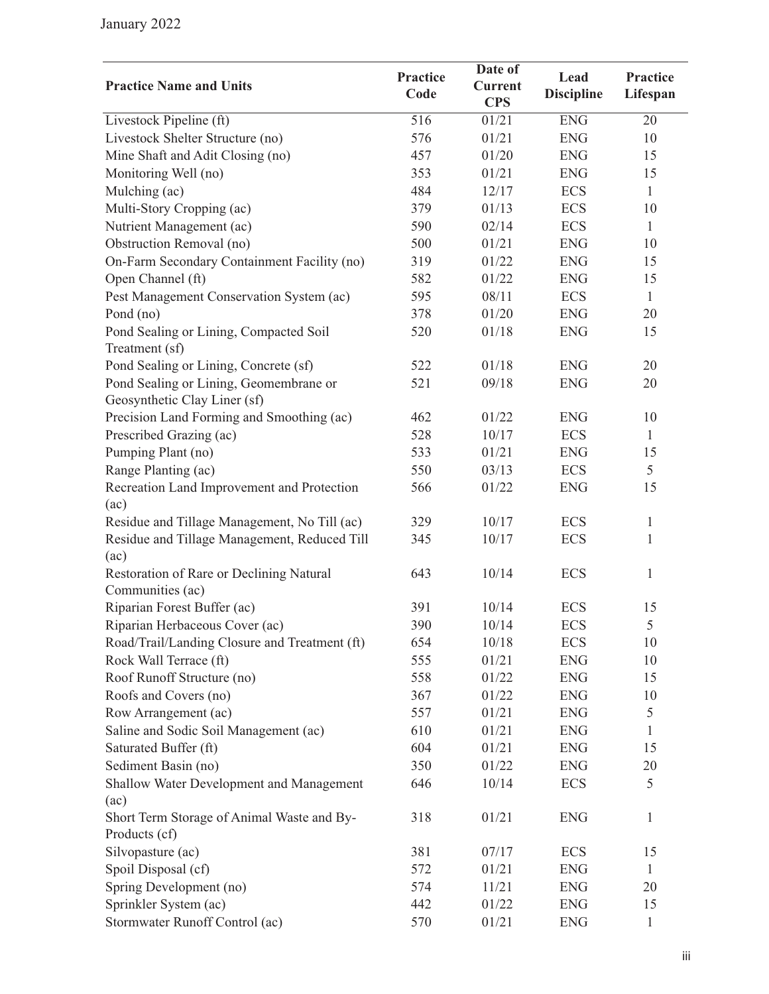|                                                              |                         | Date of                      |                           |                             |
|--------------------------------------------------------------|-------------------------|------------------------------|---------------------------|-----------------------------|
| <b>Practice Name and Units</b>                               | <b>Practice</b><br>Code | <b>Current</b><br><b>CPS</b> | Lead<br><b>Discipline</b> | <b>Practice</b><br>Lifespan |
| Livestock Pipeline (ft)                                      | 516                     | 01/21                        | <b>ENG</b>                | 20                          |
| Livestock Shelter Structure (no)                             | 576                     | 01/21                        | <b>ENG</b>                | 10                          |
| Mine Shaft and Adit Closing (no)                             | 457                     | 01/20                        | <b>ENG</b>                | 15                          |
| Monitoring Well (no)                                         | 353                     | 01/21                        | <b>ENG</b>                | 15                          |
| Mulching (ac)                                                | 484                     | 12/17                        | <b>ECS</b>                | $\mathbf{1}$                |
| Multi-Story Cropping (ac)                                    | 379                     | 01/13                        | <b>ECS</b>                | 10                          |
| Nutrient Management (ac)                                     | 590                     | 02/14                        | <b>ECS</b>                | $\mathbf{1}$                |
| Obstruction Removal (no)                                     | 500                     | 01/21                        | <b>ENG</b>                | 10                          |
| On-Farm Secondary Containment Facility (no)                  | 319                     | 01/22                        | <b>ENG</b>                | 15                          |
| Open Channel (ft)                                            | 582                     | 01/22                        | <b>ENG</b>                | 15                          |
| Pest Management Conservation System (ac)                     | 595                     | 08/11                        | <b>ECS</b>                | $\mathbf{1}$                |
| Pond (no)                                                    | 378                     | 01/20                        | <b>ENG</b>                | 20                          |
| Pond Sealing or Lining, Compacted Soil                       | 520                     | 01/18                        | <b>ENG</b>                | 15                          |
| Treatment (sf)                                               |                         |                              |                           |                             |
| Pond Sealing or Lining, Concrete (sf)                        | 522                     | 01/18                        | <b>ENG</b>                | 20                          |
| Pond Sealing or Lining, Geomembrane or                       | 521                     | 09/18                        | <b>ENG</b>                | 20                          |
| Geosynthetic Clay Liner (sf)                                 |                         |                              |                           |                             |
| Precision Land Forming and Smoothing (ac)                    | 462                     | 01/22                        | <b>ENG</b>                | 10                          |
| Prescribed Grazing (ac)                                      | 528                     | 10/17                        | <b>ECS</b>                | $\mathbf{1}$                |
| Pumping Plant (no)                                           | 533                     | 01/21                        | <b>ENG</b>                | 15                          |
| Range Planting (ac)                                          | 550                     | 03/13                        | <b>ECS</b>                | 5                           |
| Recreation Land Improvement and Protection                   | 566                     | 01/22                        | <b>ENG</b>                | 15                          |
| (ac)                                                         |                         |                              |                           |                             |
| Residue and Tillage Management, No Till (ac)                 | 329                     | 10/17                        | <b>ECS</b>                | $\mathbf{1}$                |
| Residue and Tillage Management, Reduced Till<br>(ac)         | 345                     | 10/17                        | <b>ECS</b>                | $\mathbf{1}$                |
| Restoration of Rare or Declining Natural<br>Communities (ac) | 643                     | 10/14                        | <b>ECS</b>                | $\mathbf{1}$                |
| Riparian Forest Buffer (ac)                                  | 391                     | 10/14                        | <b>ECS</b>                | 15                          |
| Riparian Herbaceous Cover (ac)                               | 390                     | 10/14                        | <b>ECS</b>                | 5                           |
| Road/Trail/Landing Closure and Treatment (ft)                | 654                     | 10/18                        | <b>ECS</b>                | 10                          |
| Rock Wall Terrace (ft)                                       | 555                     | 01/21                        | <b>ENG</b>                | 10                          |
| Roof Runoff Structure (no)                                   | 558                     | 01/22                        | <b>ENG</b>                | 15                          |
| Roofs and Covers (no)                                        | 367                     | 01/22                        | <b>ENG</b>                | 10                          |
| Row Arrangement (ac)                                         | 557                     | 01/21                        | <b>ENG</b>                | $\mathfrak s$               |
| Saline and Sodic Soil Management (ac)                        | 610                     | 01/21                        | <b>ENG</b>                | 1                           |
| Saturated Buffer (ft)                                        | 604                     | 01/21                        | <b>ENG</b>                | 15                          |
| Sediment Basin (no)                                          | 350                     | 01/22                        | <b>ENG</b>                | 20                          |
| Shallow Water Development and Management                     | 646                     | 10/14                        | <b>ECS</b>                | 5                           |
| (ac)                                                         |                         |                              |                           |                             |
| Short Term Storage of Animal Waste and By-                   | 318                     | 01/21                        | <b>ENG</b>                | $\mathbf{1}$                |
| Products (cf)                                                |                         |                              |                           |                             |
| Silvopasture (ac)                                            | 381                     | 07/17                        | <b>ECS</b>                | 15                          |
| Spoil Disposal (cf)                                          | 572                     | 01/21                        | <b>ENG</b>                | $\mathbf{1}$                |
| Spring Development (no)                                      | 574                     | 11/21                        | <b>ENG</b>                | 20                          |
| Sprinkler System (ac)                                        | 442                     | 01/22                        | <b>ENG</b>                | 15                          |
| Stormwater Runoff Control (ac)                               | 570                     | 01/21                        | <b>ENG</b>                | $\mathbf{1}$                |